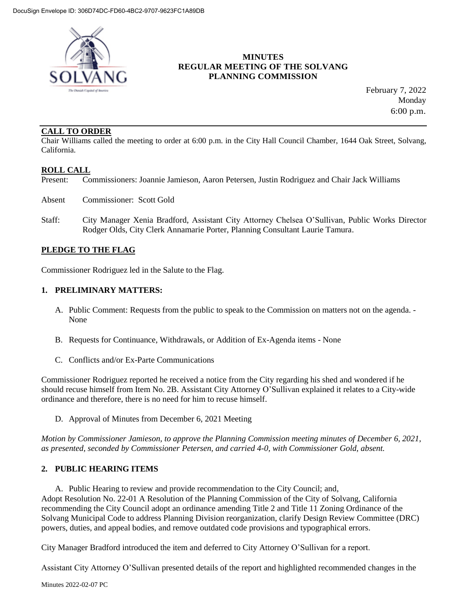

# **MINUTES REGULAR MEETING OF THE SOLVANG PLANNING COMMISSION**

 February 7, 2022 Monday 6:00 p.m.

## **CALL TO ORDER**

Chair Williams called the meeting to order at 6:00 p.m. in the City Hall Council Chamber, 1644 Oak Street, Solvang, California.

# **ROLL CALL**

Present: Commissioners: Joannie Jamieson, Aaron Petersen, Justin Rodriguez and Chair Jack Williams

- Absent Commissioner: Scott Gold
- Staff: City Manager Xenia Bradford, Assistant City Attorney Chelsea O'Sullivan, Public Works Director Rodger Olds, City Clerk Annamarie Porter, Planning Consultant Laurie Tamura.

#### **PLEDGE TO THE FLAG**

Commissioner Rodriguez led in the Salute to the Flag.

#### **1. PRELIMINARY MATTERS:**

- A. Public Comment: Requests from the public to speak to the Commission on matters not on the agenda. None
- B. Requests for Continuance, Withdrawals, or Addition of Ex-Agenda items None
- C. Conflicts and/or Ex-Parte Communications

Commissioner Rodriguez reported he received a notice from the City regarding his shed and wondered if he should recuse himself from Item No. 2B. Assistant City Attorney O'Sullivan explained it relates to a City-wide ordinance and therefore, there is no need for him to recuse himself.

D. Approval of Minutes from December 6, 2021 Meeting

*Motion by Commissioner Jamieson, to approve the Planning Commission meeting minutes of December 6, 2021, as presented, seconded by Commissioner Petersen, and carried 4-0, with Commissioner Gold, absent.* 

#### **2. PUBLIC HEARING ITEMS**

A. Public Hearing to review and provide recommendation to the City Council; and, Adopt Resolution No. 22-01 A Resolution of the Planning Commission of the City of Solvang, California recommending the City Council adopt an ordinance amending Title 2 and Title 11 Zoning Ordinance of the Solvang Municipal Code to address Planning Division reorganization, clarify Design Review Committee (DRC) powers, duties, and appeal bodies, and remove outdated code provisions and typographical errors.

City Manager Bradford introduced the item and deferred to City Attorney O'Sullivan for a report.

Assistant City Attorney O'Sullivan presented details of the report and highlighted recommended changes in the

Minutes 2022-02-07 PC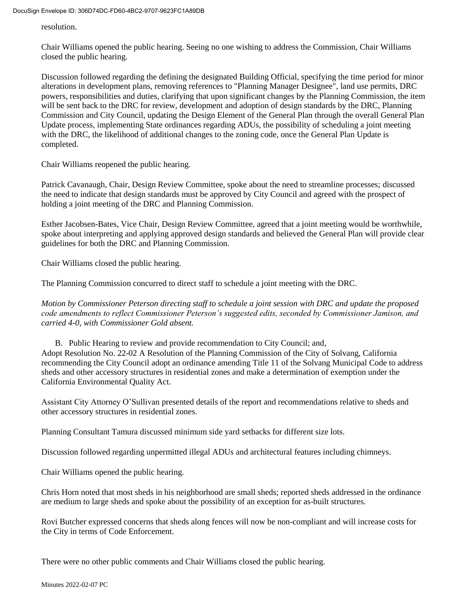resolution.

Chair Williams opened the public hearing. Seeing no one wishing to address the Commission, Chair Williams closed the public hearing.

Discussion followed regarding the defining the designated Building Official, specifying the time period for minor alterations in development plans, removing references to "Planning Manager Designee", land use permits, DRC powers, responsibilities and duties, clarifying that upon significant changes by the Planning Commission, the item will be sent back to the DRC for review, development and adoption of design standards by the DRC, Planning Commission and City Council, updating the Design Element of the General Plan through the overall General Plan Update process, implementing State ordinances regarding ADUs, the possibility of scheduling a joint meeting with the DRC, the likelihood of additional changes to the zoning code, once the General Plan Update is completed.

Chair Williams reopened the public hearing.

Patrick Cavanaugh, Chair, Design Review Committee, spoke about the need to streamline processes; discussed the need to indicate that design standards must be approved by City Council and agreed with the prospect of holding a joint meeting of the DRC and Planning Commission.

Esther Jacobsen-Bates, Vice Chair, Design Review Committee, agreed that a joint meeting would be worthwhile, spoke about interpreting and applying approved design standards and believed the General Plan will provide clear guidelines for both the DRC and Planning Commission.

Chair Williams closed the public hearing.

The Planning Commission concurred to direct staff to schedule a joint meeting with the DRC.

*Motion by Commissioner Peterson directing staff to schedule a joint session with DRC and update the proposed code amendments to reflect Commissioner Peterson's suggested edits, seconded by Commissioner Jamison, and carried 4-0, with Commissioner Gold absent.*

B. Public Hearing to review and provide recommendation to City Council; and, Adopt Resolution No. 22-02 A Resolution of the Planning Commission of the City of Solvang, California recommending the City Council adopt an ordinance amending Title 11 of the Solvang Municipal Code to address sheds and other accessory structures in residential zones and make a determination of exemption under the California Environmental Quality Act.

Assistant City Attorney O'Sullivan presented details of the report and recommendations relative to sheds and other accessory structures in residential zones.

Planning Consultant Tamura discussed minimum side yard setbacks for different size lots.

Discussion followed regarding unpermitted illegal ADUs and architectural features including chimneys.

Chair Williams opened the public hearing.

Chris Horn noted that most sheds in his neighborhood are small sheds; reported sheds addressed in the ordinance are medium to large sheds and spoke about the possibility of an exception for as-built structures.

Rovi Butcher expressed concerns that sheds along fences will now be non-compliant and will increase costs for the City in terms of Code Enforcement.

There were no other public comments and Chair Williams closed the public hearing.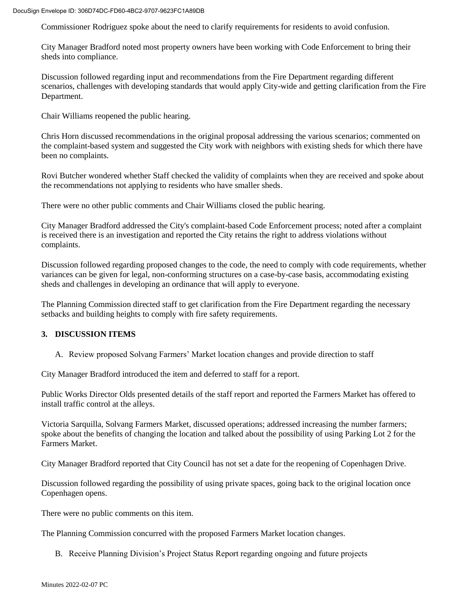DocuSign Envelope ID: 306D74DC-FD60-4BC2-9707-9623FC1A89DB

Commissioner Rodriguez spoke about the need to clarify requirements for residents to avoid confusion.

City Manager Bradford noted most property owners have been working with Code Enforcement to bring their sheds into compliance.

Discussion followed regarding input and recommendations from the Fire Department regarding different scenarios, challenges with developing standards that would apply City-wide and getting clarification from the Fire Department.

Chair Williams reopened the public hearing.

Chris Horn discussed recommendations in the original proposal addressing the various scenarios; commented on the complaint-based system and suggested the City work with neighbors with existing sheds for which there have been no complaints.

Rovi Butcher wondered whether Staff checked the validity of complaints when they are received and spoke about the recommendations not applying to residents who have smaller sheds.

There were no other public comments and Chair Williams closed the public hearing.

City Manager Bradford addressed the City's complaint-based Code Enforcement process; noted after a complaint is received there is an investigation and reported the City retains the right to address violations without complaints.

Discussion followed regarding proposed changes to the code, the need to comply with code requirements, whether variances can be given for legal, non-conforming structures on a case-by-case basis, accommodating existing sheds and challenges in developing an ordinance that will apply to everyone.

The Planning Commission directed staff to get clarification from the Fire Department regarding the necessary setbacks and building heights to comply with fire safety requirements.

#### **3. DISCUSSION ITEMS**

A. Review proposed Solvang Farmers' Market location changes and provide direction to staff

City Manager Bradford introduced the item and deferred to staff for a report.

Public Works Director Olds presented details of the staff report and reported the Farmers Market has offered to install traffic control at the alleys.

Victoria Sarquilla, Solvang Farmers Market, discussed operations; addressed increasing the number farmers; spoke about the benefits of changing the location and talked about the possibility of using Parking Lot 2 for the Farmers Market.

City Manager Bradford reported that City Council has not set a date for the reopening of Copenhagen Drive.

Discussion followed regarding the possibility of using private spaces, going back to the original location once Copenhagen opens.

There were no public comments on this item.

The Planning Commission concurred with the proposed Farmers Market location changes.

B. Receive Planning Division's Project Status Report regarding ongoing and future projects